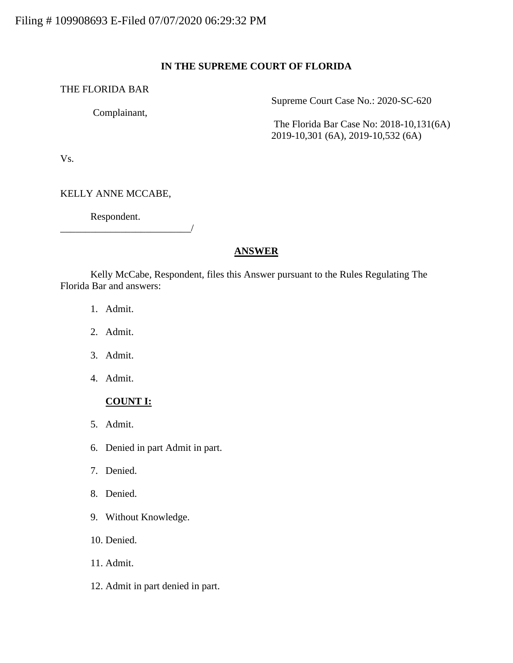#### **IN THE SUPREME COURT OF FLORIDA**

#### THE FLORIDA BAR

Complainant,

Supreme Court Case No.: 2020-SC-620

The Florida Bar Case No: 2018-10,131(6A) 2019-10,301 (6A), 2019-10,532 (6A)

Vs.

KELLY ANNE MCCABE,

Respondent.

\_\_\_\_\_\_\_\_\_\_\_\_\_\_\_\_\_\_\_\_\_\_\_\_\_\_/

# **ANSWER**

Kelly McCabe, Respondent, files this Answer pursuant to the Rules Regulating The Florida Bar and answers:

- 1. Admit.
- 2. Admit.
- 3. Admit.
- 4. Admit.

#### **COUNT I:**

- 5. Admit.
- 6. Denied in part Admit in part.
- 7. Denied.
- 8. Denied.
- 9. Without Knowledge.
- 10. Denied.
- 11. Admit.
- 12. Admit in part denied in part.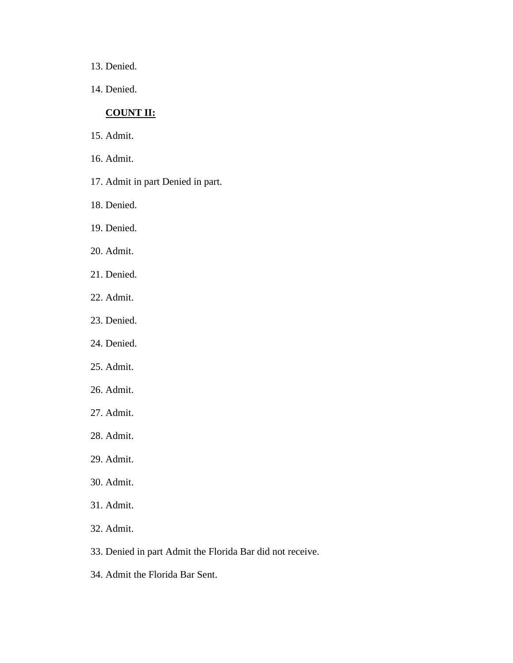- 13. Denied.
- 14. Denied.

## **COUNT II:**

- 15. Admit.
- 16. Admit.
- 17. Admit in part Denied in part.
- 18. Denied.
- 19. Denied.
- 20. Admit.
- 21. Denied.
- 22. Admit.
- 23. Denied.
- 24. Denied.
- 25. Admit.
- 26. Admit.
- 27. Admit.
- 28. Admit.
- 29. Admit.
- 30. Admit.
- 31. Admit.
- 32. Admit.
- 33. Denied in part Admit the Florida Bar did not receive.
- 34. Admit the Florida Bar Sent.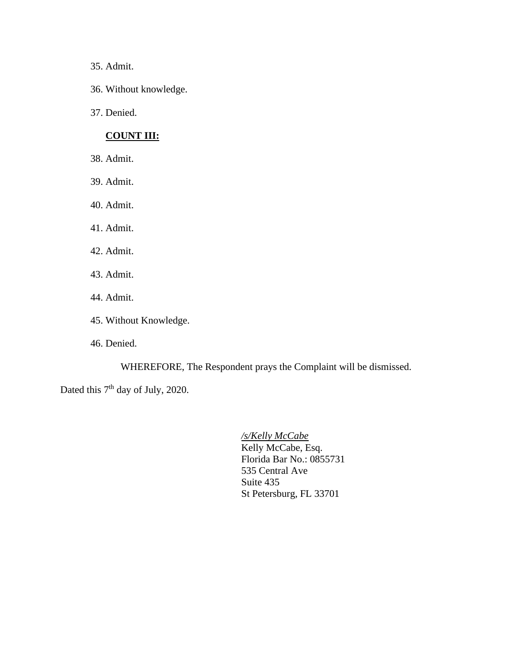35. Admit.

- 36. Without knowledge.
- 37. Denied.

# **COUNT III:**

- 38. Admit.
- 39. Admit.
- 40. Admit.
- 41. Admit.
- 42. Admit.
- 43. Admit.
- 44. Admit.
- 45. Without Knowledge.
- 46. Denied.

WHEREFORE, The Respondent prays the Complaint will be dismissed.

Dated this 7<sup>th</sup> day of July, 2020.

*/s/Kelly McCabe* Kelly McCabe, Esq. Florida Bar No.: 0855731 535 Central Ave Suite 435 St Petersburg, FL 33701